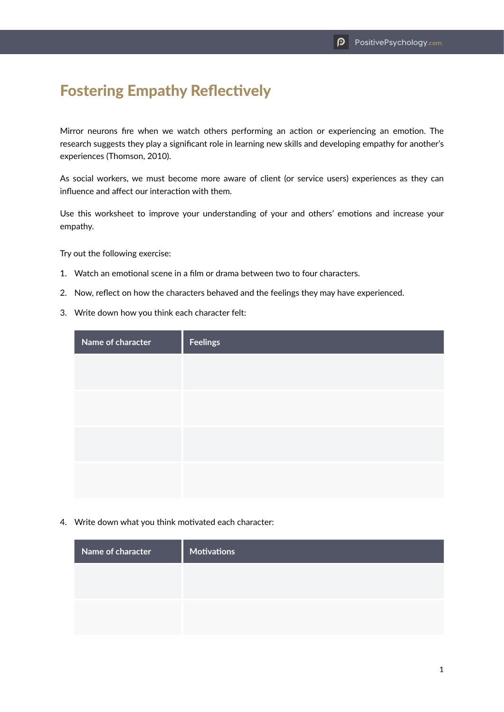## Fostering Empathy Reflectively

Mirror neurons fire when we watch others performing an action or experiencing an emotion. The research suggests they play a significant role in learning new skills and developing empathy for another's experiences (Thomson, 2010).

As social workers, we must become more aware of client (or service users) experiences as they can influence and affect our interaction with them.

Use this worksheet to improve your understanding of your and others' emotions and increase your empathy.

Try out the following exercise:

- 1. Watch an emotional scene in a film or drama between two to four characters.
- 2. Now, reflect on how the characters behaved and the feelings they may have experienced.
- 3. Write down how you think each character felt:

| Name of character | <b>Feelings</b> |
|-------------------|-----------------|
|                   |                 |
|                   |                 |
|                   |                 |
|                   |                 |
|                   |                 |
|                   |                 |

4. Write down what you think motivated each character:

| Name of character | <b>Motivations</b> |
|-------------------|--------------------|
|                   |                    |
|                   |                    |
|                   |                    |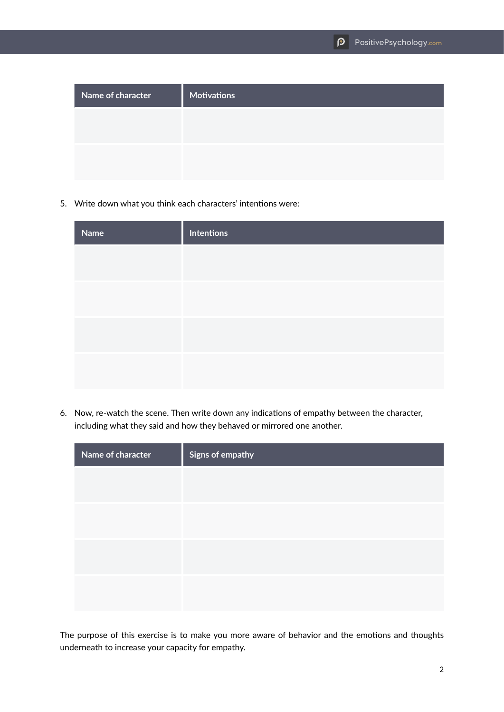| Name of character | <b>Motivations</b> |
|-------------------|--------------------|
|                   |                    |
|                   |                    |
|                   |                    |

5. Write down what you think each characters' intentions were:

| Name | <b>Intentions</b> |
|------|-------------------|
|      |                   |
|      |                   |
|      |                   |
|      |                   |
|      |                   |
|      |                   |

6. Now, re-watch the scene. Then write down any indications of empathy between the character, including what they said and how they behaved or mirrored one another.

| Name of character | Signs of empathy |
|-------------------|------------------|
|                   |                  |
|                   |                  |
|                   |                  |
|                   |                  |
|                   |                  |
|                   |                  |

The purpose of this exercise is to make you more aware of behavior and the emotions and thoughts underneath to increase your capacity for empathy.